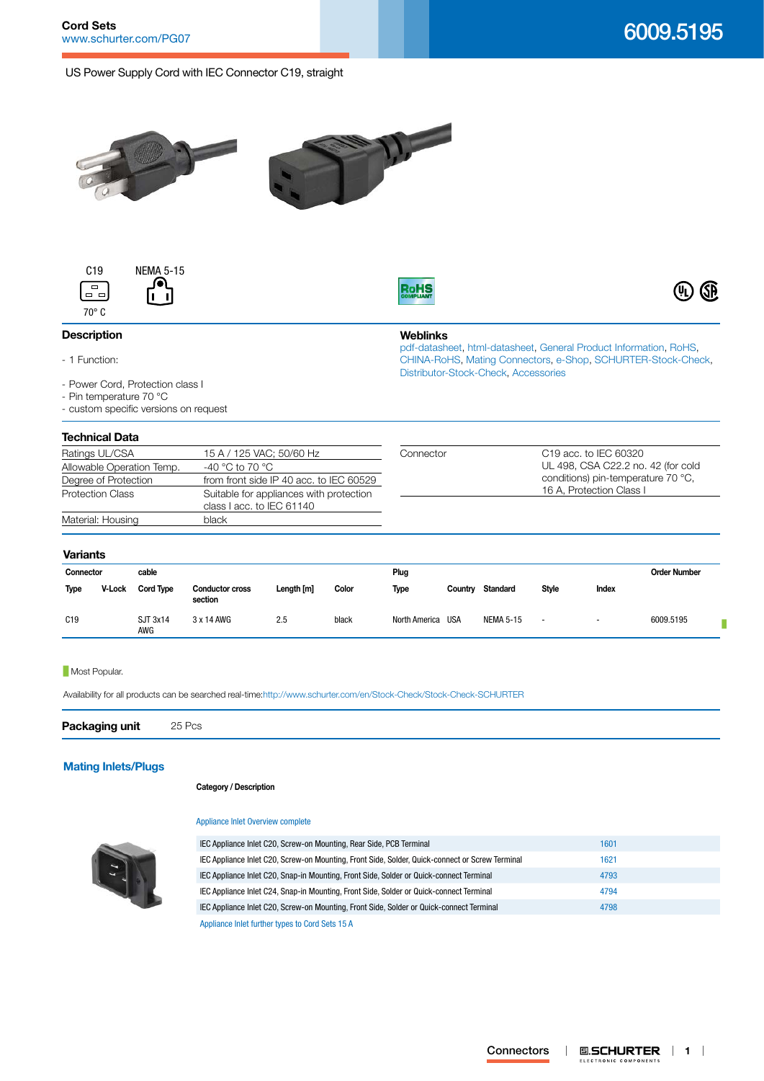# US Power Supply Cord with IEC Connector C19, straight







**Weblinks**

[Distributor-Stock-Check,](http:///en/Stock-Check/Stock-Check-Distributor?partnumber1=6009.5195) [Accessories](http://www.schurter.ch/wwwsc/con_z01.asp)

[pdf-datasheet](http://www.schurter.ch/pdf/english/typ_6009.5195.pdf), [html-datasheet](http://www.schurter.ch/en/datasheet/6009.5195), [General Product Information,](http://www.schurter.ch/products/iec_connector_overview.asp) [RoHS,](http://www.schurter.ch/company/rohs.asp) [CHINA-RoHS,](http://www.schurter.ch/company/china_rohs.asp) [Mating Connectors](http://www.schurter.ch/Components/Connectors/Mating-Connectors), [e-Shop](http:///en/Stock-Check/e-Shop?MATNR=6009.5195&COM_QTY=1&AUTOSEARCH=true&VARIANT=E-SHOP), [SCHURTER-Stock-Check](http:///en/Stock-Check/Stock-Check-SCHURTER?MATNR=6009.5195&COM_QTY=25&AUTOSEARCH=true),



## **Description**

- 1 Function:
- Power Cord, Protection class I
- Pin temperature 70 °C
- custom specific versions on request

# **Technical Data**

| ICUI IIIUAI DALA                                                                                                                                                                                                   |                          |                   |                                                                          |  |  |
|--------------------------------------------------------------------------------------------------------------------------------------------------------------------------------------------------------------------|--------------------------|-------------------|--------------------------------------------------------------------------|--|--|
| Ratings UL/CSA                                                                                                                                                                                                     | 15 A / 125 VAC; 50/60 Hz | Connector         | C <sub>19</sub> acc. to IEC 60320                                        |  |  |
| -40 °C to 70 °C<br>Allowable Operation Temp.<br>from front side IP 40 acc. to IEC 60529<br>Degree of Protection<br><b>Protection Class</b><br>Suitable for appliances with protection<br>class I acc. to IEC 61140 |                          |                   | UL 498, CSA C22.2 no. 42 (for cold<br>conditions) pin-temperature 70 °C. |  |  |
|                                                                                                                                                                                                                    |                          |                   |                                                                          |  |  |
|                                                                                                                                                                                                                    |                          | Material: Housing | black                                                                    |  |  |

## **Variants**

| ----------- |        |                  |                                   |            |       |                   |         |                  |                          |        |                     |
|-------------|--------|------------------|-----------------------------------|------------|-------|-------------------|---------|------------------|--------------------------|--------|---------------------|
| Connector   |        | cable            |                                   |            |       | Plug              |         |                  |                          |        | <b>Order Number</b> |
| <b>Type</b> | V-Lock | <b>Cord Type</b> | <b>Conductor cross</b><br>section | Length [m] | Color | Type              | Country | Standard         | <b>Style</b>             | Index  |                     |
| C19         |        | SJT 3x14<br>AWG  | 3 x 14 AWG                        | 2.5        | black | North America USA |         | <b>NEMA 5-15</b> | $\overline{\phantom{a}}$ | $\sim$ | 6009.5195           |

## **Most Popular.**

Availability for all products can be searched real-time[:http://www.schurter.com/en/Stock-Check/Stock-Check-SCHURTER](http://www.schurter.com/en/Stock-Check/Stock-Check-SCHURTER)

**Packaging unit** 25 Pcs

# **[Mating Inlets/Plugs](http://www.schurter.ch/Components/Connectors/Mating-Connectors?out_type=Cord_Sets_15_A)**

### **Category / Description**

## [Appliance Inlet Overview complete](http://www.schurter.ch/pg07)



| IEC Appliance Inlet C20, Screw-on Mounting, Rear Side, PCB Terminal                             | 1601 |
|-------------------------------------------------------------------------------------------------|------|
| IEC Appliance Inlet C20, Screw-on Mounting, Front Side, Solder, Quick-connect or Screw Terminal | 1621 |
| IEC Appliance Inlet C20, Snap-in Mounting, Front Side, Solder or Quick-connect Terminal         | 4793 |
| IEC Appliance Inlet C24, Snap-in Mounting, Front Side, Solder or Quick-connect Terminal         | 4794 |
| IEC Appliance Inlet C20, Screw-on Mounting, Front Side, Solder or Quick-connect Terminal        | 4798 |
| Appliance Inlet further types to Cord Sets 15 A                                                 |      |